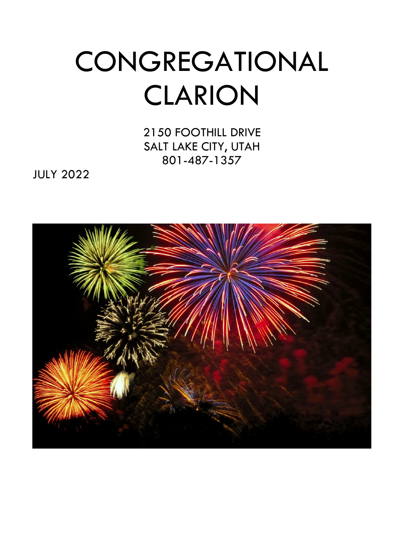# **CONGREGATIONAL** CLARION

2150 FOOTHILL DRIVE SALT LAKE CITY, UTAH 801-487-1357

JULY 2022

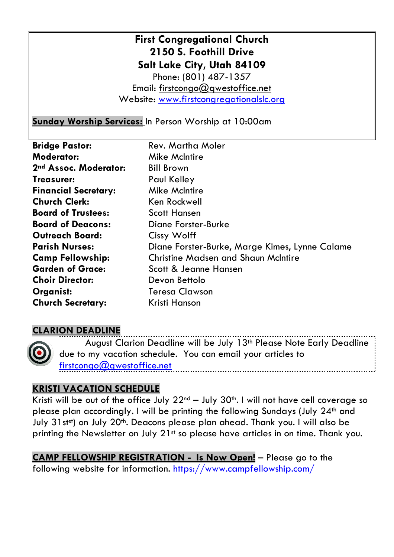## **First Congregational Church 2150 S. Foothill Drive Salt Lake City, Utah 84109**  Phone: (801) 487-1357 Email: firstcongo@gwestoffice.net Website: www.firstcongregationalslc.org

**Sunday Worship Services:** In Person Worship at 10:00am

| <b>Bridge Pastor:</b>       | Rev. Martha Moler                              |
|-----------------------------|------------------------------------------------|
| <b>Moderator:</b>           | <b>Mike McIntire</b>                           |
| 2nd Assoc. Moderator:       | <b>Bill Brown</b>                              |
| Treasurer:                  | Paul Kelley                                    |
| <b>Financial Secretary:</b> | <b>Mike McIntire</b>                           |
| <b>Church Clerk:</b>        | Ken Rockwell                                   |
| <b>Board of Trustees:</b>   | <b>Scott Hansen</b>                            |
| <b>Board of Deacons:</b>    | <b>Diane Forster-Burke</b>                     |
| <b>Outreach Board:</b>      | Cissy Wolff                                    |
| <b>Parish Nurses:</b>       | Diane Forster-Burke, Marge Kimes, Lynne Calame |
| <b>Camp Fellowship:</b>     | <b>Christine Madsen and Shaun McIntire</b>     |
| <b>Garden of Grace:</b>     | Scott & Jeanne Hansen                          |
| <b>Choir Director:</b>      | Devon Bettolo                                  |
| Organist:                   | <b>Teresa Clawson</b>                          |
| <b>Church Secretary:</b>    | Kristi Hanson                                  |

# **CLARION DEADLINE**

August Clarion Deadline will be July 13<sup>th</sup> Please Note Early Deadline due to my vacation schedule. You can email your articles to firstcongo@qwestoffice.net

## **KRISTI VACATION SCHEDULE**

Kristi will be out of the office July  $22^{nd}$  – July  $30^{th}$ . I will not have cell coverage so please plan accordingly. I will be printing the following Sundays (July 24<sup>th</sup> and July 31st<sup>st</sup>) on July 20<sup>th</sup>. Deacons please plan ahead. Thank you. I will also be printing the Newsletter on July 21<sup>st</sup> so please have articles in on time. Thank you.

**CAMP FELLOWSHIP REGISTRATION - Is Now Open!** – Please go to the following website for information. https://www.campfellowship.com/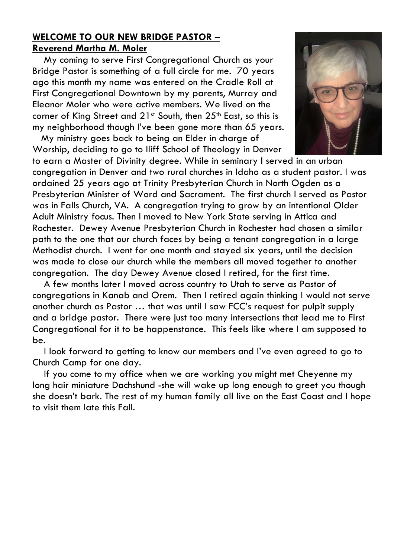#### **WELCOME TO OUR NEW BRIDGE PASTOR – Reverend Martha M. Moler**

 My coming to serve First Congregational Church as your Bridge Pastor is something of a full circle for me. 70 years ago this month my name was entered on the Cradle Roll at First Congregational Downtown by my parents, Murray and Eleanor Moler who were active members. We lived on the corner of King Street and 21st South, then 25<sup>th</sup> East, so this is my neighborhood though I've been gone more than 65 years.

 My ministry goes back to being an Elder in charge of Worship, deciding to go to Iliff School of Theology in Denver



to earn a Master of Divinity degree. While in seminary I served in an urban congregation in Denver and two rural churches in Idaho as a student pastor. I was ordained 25 years ago at Trinity Presbyterian Church in North Ogden as a Presbyterian Minister of Word and Sacrament. The first church I served as Pastor was in Falls Church, VA. A congregation trying to grow by an intentional Older Adult Ministry focus. Then I moved to New York State serving in Attica and Rochester. Dewey Avenue Presbyterian Church in Rochester had chosen a similar path to the one that our church faces by being a tenant congregation in a large Methodist church. I went for one month and stayed six years, until the decision was made to close our church while the members all moved together to another congregation. The day Dewey Avenue closed I retired, for the first time.

 A few months later I moved across country to Utah to serve as Pastor of congregations in Kanab and Orem. Then I retired again thinking I would not serve another church as Pastor … that was until I saw FCC's request for pulpit supply and a bridge pastor. There were just too many intersections that lead me to First Congregational for it to be happenstance. This feels like where I am supposed to be.

 I look forward to getting to know our members and I've even agreed to go to Church Camp for one day.

 If you come to my office when we are working you might met Cheyenne my long hair miniature Dachshund -she will wake up long enough to greet you though she doesn't bark. The rest of my human family all live on the East Coast and I hope to visit them late this Fall.